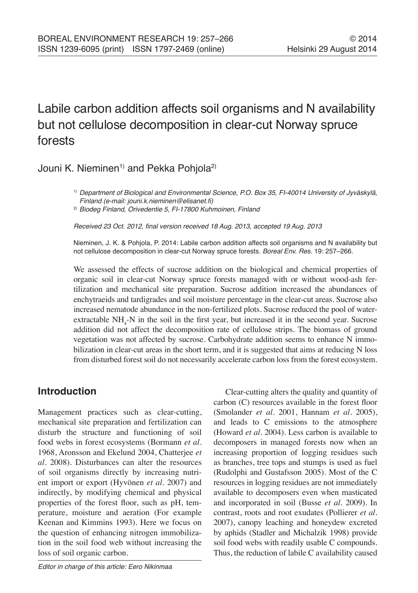# Labile carbon addition affects soil organisms and N availability but not cellulose decomposition in clear-cut Norway spruce forests

## Jouni K. Nieminen<sup>1)</sup> and Pekka Pohjola<sup>2)</sup>

Received 23 Oct. 2012, final version received 18 Aug. 2013, accepted 19 Aug. 2013

Nieminen, J. K. & Pohjola, P. 2014: Labile carbon addition affects soil organisms and N availability but not cellulose decomposition in clear-cut Norway spruce forests. *Boreal Env. Res.* 19: 257–266.

We assessed the effects of sucrose addition on the biological and chemical properties of organic soil in clear-cut Norway spruce forests managed with or without wood-ash fertilization and mechanical site preparation. Sucrose addition increased the abundances of enchytraeids and tardigrades and soil moisture percentage in the clear-cut areas. Sucrose also increased nematode abundance in the non-fertilized plots. Sucrose reduced the pool of waterextractable  $NH_4$ -N in the soil in the first year, but increased it in the second year. Sucrose addition did not affect the decomposition rate of cellulose strips. The biomass of ground vegetation was not affected by sucrose. Carbohydrate addition seems to enhance N immobilization in clear-cut areas in the short term, and it is suggested that aims at reducing N loss from disturbed forest soil do not necessarily accelerate carbon loss from the forest ecosystem.

## **Introduction**

Management practices such as clear-cutting, mechanical site preparation and fertilization can disturb the structure and functioning of soil food webs in forest ecosystems (Bormann *et al*. 1968, Aronsson and Ekelund 2004, Chatterjee *et al*. 2008). Disturbances can alter the resources of soil organisms directly by increasing nutrient import or export (Hyvönen *et al*. 2007) and indirectly, by modifying chemical and physical properties of the forest floor, such as pH, temperature, moisture and aeration (For example Keenan and Kimmins 1993). Here we focus on the question of enhancing nitrogen immobilization in the soil food web without increasing the loss of soil organic carbon.

Clear-cutting alters the quality and quantity of carbon (C) resources available in the forest floor (Smolander *et al*. 2001, Hannam *et al*. 2005), and leads to C emissions to the atmosphere (Howard *et al*. 2004). Less carbon is available to decomposers in managed forests now when an increasing proportion of logging residues such as branches, tree tops and stumps is used as fuel (Rudolphi and Gustafsson 2005). Most of the C resources in logging residues are not immediately available to decomposers even when masticated and incorporated in soil (Busse *et al*. 2009). In contrast, roots and root exudates (Pollierer *et al*. 2007), canopy leaching and honeydew excreted by aphids (Stadler and Michalzik 1998) provide soil food webs with readily usable C compounds. Thus, the reduction of labile C availability caused

<sup>1)</sup> *Department of Biological and Environmental Science, P.O. Box 35, FI-40014 University of Jyväskylä, Finland (e-mail:* jouni.k.nieminen@elisanet.fi)

<sup>2)</sup> *Biodeg Finland, Orivedentie 5, FI-17800 Kuhmoinen, Finland*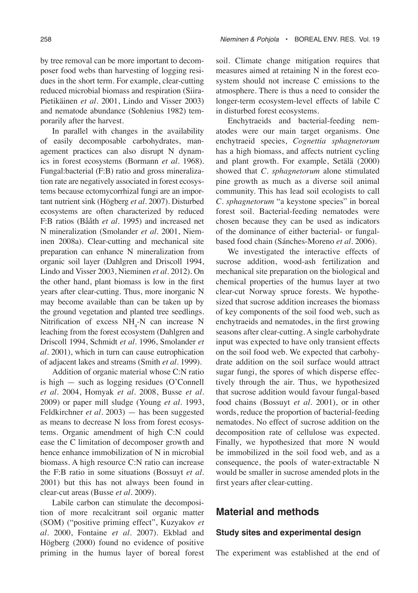by tree removal can be more important to decomposer food webs than harvesting of logging residues in the short term. For example, clear-cutting reduced microbial biomass and respiration (Siira-Pietikäinen *et al*. 2001, Lindo and Visser 2003) and nematode abundance (Sohlenius 1982) temporarily after the harvest.

In parallel with changes in the availability of easily decomposable carbohydrates, management practices can also disrupt N dynamics in forest ecosystems (Bormann *et al*. 1968). Fungal:bacterial (F:B) ratio and gross mineralization rate are negatively associated in forest ecosystems because ectomycorrhizal fungi are an important nutrient sink (Högberg *et al*. 2007). Disturbed ecosystems are often characterized by reduced F:B ratios (Bååth *et al*. 1995) and increased net N mineralization (Smolander *et al*. 2001, Nieminen 2008a). Clear-cutting and mechanical site preparation can enhance N mineralization from organic soil layer (Dahlgren and Driscoll 1994, Lindo and Visser 2003, Nieminen *et al*. 2012). On the other hand, plant biomass is low in the first years after clear-cutting. Thus, more inorganic N may become available than can be taken up by the ground vegetation and planted tree seedlings. Nitrification of excess  $NH_4$ -N can increase N leaching from the forest ecosystem (Dahlgren and Driscoll 1994, Schmidt *et al*. 1996, Smolander *et al*. 2001), which in turn can cause eutrophication of adjacent lakes and streams (Smith *et al*. 1999).

Addition of organic material whose C:N ratio is high  $-$  such as logging residues (O'Connell *et al*. 2004, Homyak *et al*. 2008, Busse *et al*. 2009) or paper mill sludge (Young *et al*. 1993, Feldkirchner *et al*. 2003) — has been suggested as means to decrease N loss from forest ecosystems. Organic amendment of high C:N could ease the C limitation of decomposer growth and hence enhance immobilization of N in microbial biomass. A high resource C:N ratio can increase the F:B ratio in some situations (Bossuyt *et al*. 2001) but this has not always been found in clear-cut areas (Busse *et al*. 2009).

Labile carbon can stimulate the decomposition of more recalcitrant soil organic matter (SOM) ("positive priming effect", Kuzyakov *et al*. 2000, Fontaine *et al*. 2007). Ekblad and Högberg (2000) found no evidence of positive priming in the humus layer of boreal forest

soil. Climate change mitigation requires that measures aimed at retaining N in the forest ecosystem should not increase C emissions to the atmosphere. There is thus a need to consider the longer-term ecosystem-level effects of labile C in disturbed forest ecosystems.

Enchytraeids and bacterial-feeding nematodes were our main target organisms. One enchytraeid species, *Cognettia sphagnetorum* has a high biomass, and affects nutrient cycling and plant growth. For example, Setälä (2000) showed that *C. sphagnetorum* alone stimulated pine growth as much as a diverse soil animal community. This has lead soil ecologists to call *C. sphagnetorum* "a keystone species" in boreal forest soil. Bacterial-feeding nematodes were chosen because they can be used as indicators of the dominance of either bacterial- or fungalbased food chain (Sánches-Moreno *et al*. 2006).

We investigated the interactive effects of sucrose addition, wood-ash fertilization and mechanical site preparation on the biological and chemical properties of the humus layer at two clear-cut Norway spruce forests. We hypothesized that sucrose addition increases the biomass of key components of the soil food web, such as enchytraeids and nematodes, in the first growing seasons after clear-cutting. A single carbohydrate input was expected to have only transient effects on the soil food web. We expected that carbohydrate addition on the soil surface would attract sugar fungi, the spores of which disperse effectively through the air. Thus, we hypothesized that sucrose addition would favour fungal-based food chains (Bossuyt *et al*. 2001), or in other words, reduce the proportion of bacterial-feeding nematodes. No effect of sucrose addition on the decomposition rate of cellulose was expected. Finally, we hypothesized that more N would be immobilized in the soil food web, and as a consequence, the pools of water-extractable N would be smaller in sucrose amended plots in the first years after clear-cutting.

## **Material and methods**

#### **Study sites and experimental design**

The experiment was established at the end of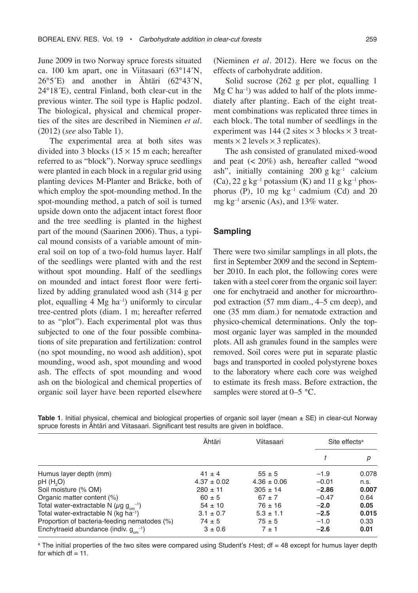June 2009 in two Norway spruce forests situated ca. 100 km apart, one in Viitasaari (63°14´N, 26°5´E) and another in Ähtäri (62°43´N, 24°18´E), central Finland, both clear-cut in the previous winter. The soil type is Haplic podzol. The biological, physical and chemical properties of the sites are described in Nieminen *et al*. (2012) (*see* also Table 1).

The experimental area at both sites was divided into 3 blocks  $(15 \times 15 \text{ m} \text{ each}; \text{ hereafter})$ referred to as "block"). Norway spruce seedlings were planted in each block in a regular grid using planting devices M-Planter and Bräcke, both of which employ the spot-mounding method. In the spot-mounding method, a patch of soil is turned upside down onto the adjacent intact forest floor and the tree seedling is planted in the highest part of the mound (Saarinen 2006). Thus, a typical mound consists of a variable amount of mineral soil on top of a two-fold humus layer. Half of the seedlings were planted with and the rest without spot mounding. Half of the seedlings on mounded and intact forest floor were fertilized by adding granulated wood ash (314 g per plot, equalling  $4 \text{ Mg} \text{ ha}^{-1}$ ) uniformly to circular tree-centred plots (diam. 1 m; hereafter referred to as "plot"). Each experimental plot was thus subjected to one of the four possible combinations of site preparation and fertilization: control (no spot mounding, no wood ash addition), spot mounding, wood ash, spot mounding and wood ash. The effects of spot mounding and wood ash on the biological and chemical properties of organic soil layer have been reported elsewhere

(Nieminen *et al*. 2012). Here we focus on the effects of carbohydrate addition.

Solid sucrose (262 g per plot, equalling 1  $Mg$  C ha<sup>-1</sup>) was added to half of the plots immediately after planting. Each of the eight treatment combinations was replicated three times in each block. The total number of seedlings in the experiment was 144 (2 sites  $\times$  3 blocks  $\times$  3 treatments  $\times$  2 levels  $\times$  3 replicates).

The ash consisted of granulated mixed-wood and peat (< 20%) ash, hereafter called "wood ash", initially containing 200 g  $kg^{-1}$  calcium (Ca), 22 g kg<sup>-1</sup> potassium (K) and 11 g kg<sup>-1</sup> phosphorus (P), 10 mg  $kg^{-1}$  cadmium (Cd) and 20 mg kg<sup>-1</sup> arsenic (As), and 13% water.

#### **Sampling**

There were two similar samplings in all plots, the first in September 2009 and the second in September 2010. In each plot, the following cores were taken with a steel corer from the organic soil layer: one for enchytraeid and another for microarthropod extraction (57 mm diam., 4–5 cm deep), and one (35 mm diam.) for nematode extraction and physico-chemical determinations. Only the topmost organic layer was sampled in the mounded plots. All ash granules found in the samples were removed. Soil cores were put in separate plastic bags and transported in cooled polystyrene boxes to the laboratory where each core was weighed to estimate its fresh mass. Before extraction, the samples were stored at 0–5 °C.

|                                                                     | Ähtäri          | Viitasaari      | Site effects <sup>a</sup> |       |  |
|---------------------------------------------------------------------|-----------------|-----------------|---------------------------|-------|--|
|                                                                     |                 |                 |                           | р     |  |
| Humus layer depth (mm)                                              | $41 \pm 4$      | $55 \pm 5$      | $-1.9$                    | 0.078 |  |
| pH (H <sub>2</sub> O)                                               | $4.37 \pm 0.02$ | $4.36 \pm 0.06$ | $-0.01$                   | n.s.  |  |
| Soil moisture (% OM)                                                | $280 \pm 11$    | $305 \pm 14$    | $-2.86$                   | 0.007 |  |
| Organic matter content (%)                                          | $60 \pm 5$      | $67 \pm 7$      | $-0.47$                   | 0.64  |  |
| Total water-extractable N ( $\mu$ g g <sub>om</sub> <sup>-1</sup> ) | $54 \pm 10$     | $76 \pm 16$     | $-2.0$                    | 0.05  |  |
| Total water-extractable N (kg ha <sup>-1</sup> )                    | $3.1 \pm 0.7$   | $5.3 \pm 1.1$   | $-2.5$                    | 0.015 |  |
| Proportion of bacteria-feeding nematodes (%)                        | $74 \pm 5$      | $75 \pm 5$      | $-1.0$                    | 0.33  |  |
| Enchytraeid abundance (indiv. $g_{\text{cm}}^{-1}$ )                | $3 \pm 0.6$     | $7 + 1$         | $-2.6$                    | 0.01  |  |

**Table 1**. Initial physical, chemical and biological properties of organic soil layer (mean ± SE) in clear-cut Norway spruce forests in Ähtäri and Viitasaari. Significant test results are given in boldface.

<sup>a</sup> The initial properties of the two sites were compared using Student's *t*-test; df = 48 except for humus layer depth for which  $df = 11$ .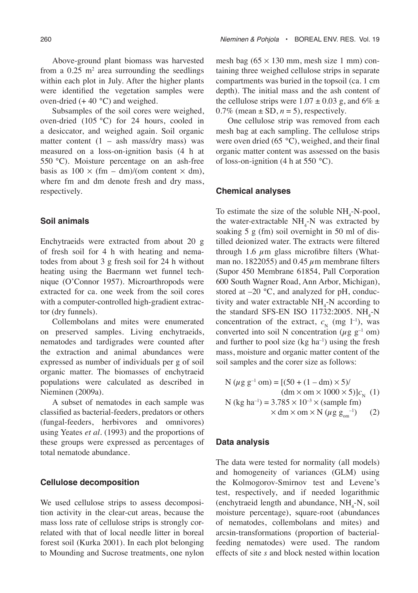Above-ground plant biomass was harvested from a  $0.25$  m<sup>2</sup> area surrounding the seedlings within each plot in July. After the higher plants were identified the vegetation samples were oven-dried  $(+ 40 °C)$  and weighed.

Subsamples of the soil cores were weighed, oven-dried (105 °C) for 24 hours, cooled in a desiccator, and weighed again. Soil organic matter content  $(1 - \text{ash mass/dry mass})$  was measured on a loss-on-ignition basis (4 h at 550 °C). Moisture percentage on an ash-free basis as  $100 \times (fm - dm)/(om$  content  $\times dm$ ), where fm and dm denote fresh and dry mass, respectively.

### **Soil animals**

Enchytraeids were extracted from about 20 g of fresh soil for 4 h with heating and nematodes from about 3 g fresh soil for 24 h without heating using the Baermann wet funnel technique (O'Connor 1957). Microarthropods were extracted for ca. one week from the soil cores with a computer-controlled high-gradient extractor (dry funnels).

Collembolans and mites were enumerated on preserved samples. Living enchytraeids, nematodes and tardigrades were counted after the extraction and animal abundances were expressed as number of individuals per g of soil organic matter. The biomasses of enchytraeid populations were calculated as described in Nieminen (2009a).

A subset of nematodes in each sample was classified as bacterial-feeders, predators or others (fungal-feeders, herbivores and omnivores) using Yeates *et al*. (1993) and the proportions of these groups were expressed as percentages of total nematode abundance.

#### **Cellulose decomposition**

We used cellulose strips to assess decomposition activity in the clear-cut areas, because the mass loss rate of cellulose strips is strongly correlated with that of local needle litter in boreal forest soil (Kurka 2001). In each plot belonging to Mounding and Sucrose treatments, one nylon mesh bag  $(65 \times 130 \text{ mm})$ , mesh size 1 mm) containing three weighed cellulose strips in separate compartments was buried in the topsoil (ca. 1 cm depth). The initial mass and the ash content of the cellulose strips were  $1.07 \pm 0.03$  g, and  $6\% \pm$ 0.7% (mean  $\pm$  SD,  $n = 5$ ), respectively.

One cellulose strip was removed from each mesh bag at each sampling. The cellulose strips were oven dried (65 °C), weighed, and their final organic matter content was assessed on the basis of loss-on-ignition (4 h at 550  $^{\circ}$ C).

#### **Chemical analyses**

To estimate the size of the soluble  $NH_4$ -N-pool, the water-extractable  $NH<sub>4</sub>$ -N was extracted by soaking 5 g (fm) soil overnight in 50 ml of distilled deionized water. The extracts were filtered through 1.6  $\mu$ m glass microfibre filters (Whatman no. 1822055) and 0.45  $\mu$ m membrane filters (Supor 450 Membrane 61854, Pall Corporation 600 South Wagner Road, Ann Arbor, Michigan), stored at  $-20$  °C, and analyzed for pH, conductivity and water extractable  $NH_4$ -N according to the standard SFS-EN ISO 11732:2005.  $NH_{4}$ -N concentration of the extract,  $c_N$  (mg l<sup>-1</sup>), was converted into soil N concentration ( $\mu$ g g<sup>-1</sup> om) and further to pool size  $(kg \text{ ha}^{-1})$  using the fresh mass, moisture and organic matter content of the soil samples and the corer size as follows:

N (
$$
\mu
$$
g g<sup>-1</sup> om) = [(50 + (1 – dm) × 5)/  
(dm × om × 1000 × 5)] $cN$  (1)  
N (kg ha<sup>-1</sup>) = 3.785 × 10<sup>-3</sup> × (sample fm)  
× dm × om × N ( $\mu$ g g<sub>on</sub><sup>-1</sup>) (2)

#### **Data analysis**

The data were tested for normality (all models) and homogeneity of variances (GLM) using the Kolmogorov-Smirnov test and Levene's test, respectively, and if needed logarithmic (enchytraeid length and abundance,  $NH_4$ -N, soil moisture percentage), square-root (abundances of nematodes, collembolans and mites) and arcsin-transformations (proportion of bacterialfeeding nematodes) were used. The random effects of site *s* and block nested within location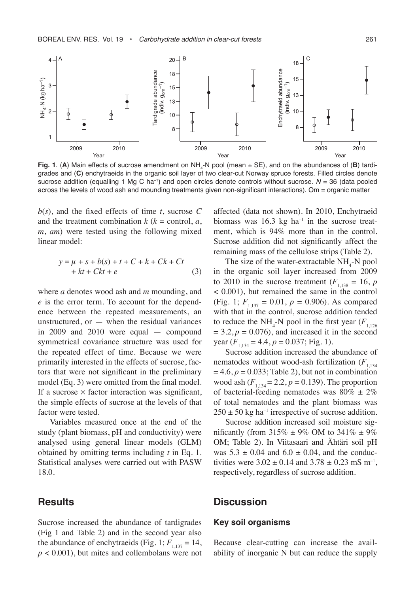

**Fig. 1**. (A) Main effects of sucrose amendment on NH<sub>4</sub>-N pool (mean ± SE), and on the abundances of (B) tardigrades and (**C**) enchytraeids in the organic soil layer of two clear-cut Norway spruce forests. Filled circles denote sucrose addition (equalling 1 Mg C ha<sup>-1</sup>) and open circles denote controls without sucrose. *N* = 36 (data pooled across the levels of wood ash and mounding treatments given non-significant interactions). Om = organic matter

 $b(s)$ , and the fixed effects of time *t*, sucrose C and the treatment combination  $k$  ( $k =$  control,  $a$ , *m*, *am*) were tested using the following mixed linear model:

$$
y = \mu + s + b(s) + t + C + k + Ck + Ct + kt + Ckt + e
$$
 (3)

where *a* denotes wood ash and *m* mounding, and *e* is the error term. To account for the dependence between the repeated measurements, an unstructured, or  $-$  when the residual variances in 2009 and 2010 were equal — compound symmetrical covariance structure was used for the repeated effect of time. Because we were primarily interested in the effects of sucrose, factors that were not significant in the preliminary model (Eq. 3) were omitted from the final model. If a sucrose  $\times$  factor interaction was significant, the simple effects of sucrose at the levels of that factor were tested.

Variables measured once at the end of the study (plant biomass, pH and conductivity) were analysed using general linear models (GLM) obtained by omitting terms including *t* in Eq. 1. Statistical analyses were carried out with PASW 18.0.

## **Results**

Sucrose increased the abundance of tardigrades (Fig 1 and Table 2) and in the second year also the abundance of enchytraeids (Fig. 1;  $F_{1,137} = 14$ ,  $p < 0.001$ ), but mites and collembolans were not

affected (data not shown). In 2010, Enchytraeid biomass was  $16.3 \text{ kg}$  ha<sup>-1</sup> in the sucrose treatment, which is 94% more than in the control. Sucrose addition did not significantly affect the remaining mass of the cellulose strips (Table 2).

The size of the water-extractable  $NH_{4}$ -N pool in the organic soil layer increased from 2009 to 2010 in the sucrose treatment  $(F_{1,138} = 16, p)$ < 0.001), but remained the same in the control (Fig. 1;  $F_{1137} = 0.01$ ,  $p = 0.906$ ). As compared with that in the control, sucrose addition tended to reduce the  $NH_4$ -N pool in the first year  $(F_{1,126})$  $= 3.2, p = 0.076$ , and increased it in the second year  $(F_{1,134} = 4.4, p = 0.037;$  Fig. 1).

Sucrose addition increased the abundance of nematodes without wood-ash fertilization  $(F_{1,134})$  $= 4.6, p = 0.033$ ; Table 2), but not in combination wood ash  $(F_{1,134} = 2.2, p = 0.139)$ . The proportion of bacterial-feeding nematodes was  $80\% \pm 2\%$ of total nematodes and the plant biomass was  $250 \pm 50$  kg ha<sup>-1</sup> irrespective of sucrose addition.

Sucrose addition increased soil moisture significantly (from  $315\% \pm 9\%$  OM to  $341\% \pm 9\%$ OM; Table 2). In Viitasaari and Ähtäri soil pH was  $5.3 \pm 0.04$  and  $6.0 \pm 0.04$ , and the conductivities were  $3.02 \pm 0.14$  and  $3.78 \pm 0.23$  mS m<sup>-1</sup>, respectively, regardless of sucrose addition.

### **Discussion**

#### **Key soil organisms**

Because clear-cutting can increase the availability of inorganic N but can reduce the supply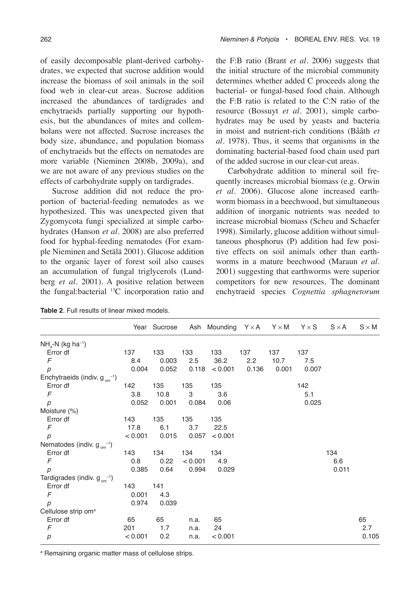of easily decomposable plant-derived carbohydrates, we expected that sucrose addition would increase the biomass of soil animals in the soil food web in clear-cut areas. Sucrose addition increased the abundances of tardigrades and enchytraeids partially supporting our hypothesis, but the abundances of mites and collembolans were not affected. Sucrose increases the body size, abundance, and population biomass of enchytraeids but the effects on nematodes are more variable (Nieminen 2008b, 2009a), and we are not aware of any previous studies on the effects of carbohydrate supply on tardigrades.

Sucrose addition did not reduce the proportion of bacterial-feeding nematodes as we hypothesized. This was unexpected given that Zygomycota fungi specialized at simple carbohydrates (Hanson *et al*. 2008) are also preferred food for hyphal-feeding nematodes (For example Nieminen and Setälä 2001). Glucose addition to the organic layer of forest soil also causes an accumulation of fungal triglycerols (Lundberg *et al*. 2001). A positive relation between the fungal:bacterial 13C incorporation ratio and the F:B ratio (Brant *et al*. 2006) suggests that the initial structure of the microbial community determines whether added C proceeds along the bacterial- or fungal-based food chain. Although the F:B ratio is related to the C:N ratio of the resource (Bossuyt *et al*. 2001), simple carbohydrates may be used by yeasts and bacteria in moist and nutrient-rich conditions (Bååth *et al*. 1978). Thus, it seems that organisms in the dominating bacterial-based food chain used part of the added sucrose in our clear-cut areas.

Carbohydrate addition to mineral soil frequently increases microbial biomass (e.g. Orwin *et al*. 2006). Glucose alone increased earthworm biomass in a beechwood, but simultaneous addition of inorganic nutrients was needed to increase microbial biomass (Scheu and Schaefer 1998). Similarly, glucose addition without simultaneous phosphorus (P) addition had few positive effects on soil animals other than earthworms in a mature beechwood (Maraun *et al*. 2001) suggesting that earthworms were superior competitors for new resources. The dominant enchytraeid species *Cognettia sphagnetorum*

| <b>Table 2.</b> Full results of linear mixed models. |  |
|------------------------------------------------------|--|
|------------------------------------------------------|--|

|                                             |         | Year Sucrose |         | Ash Mounding $Y \times A$ |       | $Y \times M$ | $Y \times S$ | $S \times A$ | $S \times M$ |
|---------------------------------------------|---------|--------------|---------|---------------------------|-------|--------------|--------------|--------------|--------------|
| $NH_{4}$ -N (kg ha <sup>-1</sup> )          |         |              |         |                           |       |              |              |              |              |
| Error df                                    | 137     | 133          | 133     | 133                       | 137   | 137          | 137          |              |              |
| F                                           | 8.4     | 0.003        | 2.5     | 36.2                      | 2.2   | 10.7         | 7.5          |              |              |
| p                                           | 0.004   | 0.052        |         | 0.118 < 0.001             | 0.136 | 0.001        | 0.007        |              |              |
| Enchytraeids (indiv. $g_{\text{on}}^{-1}$ ) |         |              |         |                           |       |              |              |              |              |
| Error df                                    | 142     | 135          | 135     | 135                       |       |              | 142          |              |              |
| F                                           | 3.8     | 10.8         | 3       | 3.6                       |       |              | 5.1          |              |              |
| p                                           | 0.052   | 0.001        | 0.084   | 0.06                      |       |              | 0.025        |              |              |
| Moisture (%)                                |         |              |         |                           |       |              |              |              |              |
| Error df                                    | 143     | 135          | 135     | 135                       |       |              |              |              |              |
| $\sqrt{2}$                                  | 17.8    | 6.1          | 3.7     | 22.5                      |       |              |              |              |              |
| $\overline{p}$                              | < 0.001 | 0.015        | 0.057   | < 0.001                   |       |              |              |              |              |
| Nematodes (indiv. $g_{\text{om}}^{-1}$ )    |         |              |         |                           |       |              |              |              |              |
| Error df                                    | 143     | 134          | 134     | 134                       |       |              |              | 134          |              |
| F                                           | 0.8     | 0.22         | < 0.001 | 4.9                       |       |              |              | 6.6          |              |
| p                                           | 0.385   | 0.64         | 0.994   | 0.029                     |       |              |              | 0.011        |              |
| Tardigrades (indiv. $g_{\text{om}}^{-1}$ )  |         |              |         |                           |       |              |              |              |              |
| Error df                                    | 143     | 141          |         |                           |       |              |              |              |              |
| F                                           | 0.001   | 4.3          |         |                           |       |              |              |              |              |
| $\overline{p}$                              | 0.974   | 0.039        |         |                           |       |              |              |              |              |
| Cellulose strip om <sup>a</sup>             |         |              |         |                           |       |              |              |              |              |
| Error df                                    | 65      | 65           | n.a.    | 65                        |       |              |              |              | 65           |
| $\digamma$                                  | 201     | 1.7          | n.a.    | 24                        |       |              |              |              | 2.7          |
| р                                           | < 0.001 | 0.2          | n.a.    | < 0.001                   |       |              |              |              | 0.105        |

<sup>a</sup> Remaining organic matter mass of cellulose strips.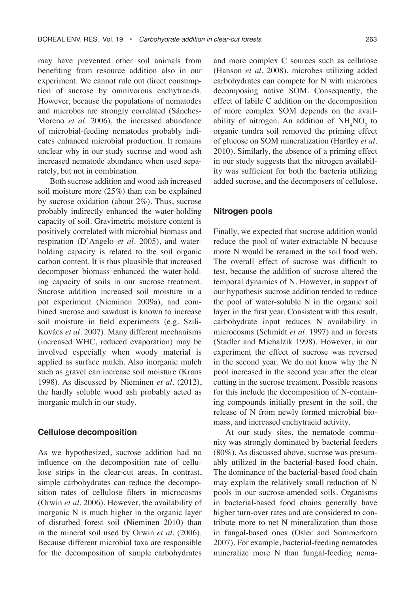may have prevented other soil animals from benefiting from resource addition also in our experiment. We cannot rule out direct consumption of sucrose by omnivorous enchytraeids. However, because the populations of nematodes and microbes are strongly correlated (Sánches-Moreno *et al*. 2006), the increased abundance of microbial-feeding nematodes probably indicates enhanced microbial production. It remains unclear why in our study sucrose and wood ash increased nematode abundance when used separately, but not in combination.

Both sucrose addition and wood ash increased soil moisture more (25%) than can be explained by sucrose oxidation (about 2%). Thus, sucrose probably indirectly enhanced the water-holding capacity of soil. Gravimetric moisture content is positively correlated with microbial biomass and respiration (D'Angelo *et al*. 2005), and waterholding capacity is related to the soil organic carbon content. It is thus plausible that increased decomposer biomass enhanced the water-holding capacity of soils in our sucrose treatment. Sucrose addition increased soil moisture in a pot experiment (Nieminen 2009a), and combined sucrose and sawdust is known to increase soil moisture in field experiments (e.g. Szili-Kovács *et al*. 2007). Many different mechanisms (increased WHC, reduced evaporation) may be involved especially when woody material is applied as surface mulch. Also inorganic mulch such as gravel can increase soil moisture (Kraus 1998). As discussed by Nieminen *et al*. (2012), the hardly soluble wood ash probably acted as inorganic mulch in our study.

#### **Cellulose decomposition**

As we hypothesized, sucrose addition had no influence on the decomposition rate of cellulose strips in the clear-cut areas. In contrast, simple carbohydrates can reduce the decomposition rates of cellulose filters in microcosms (Orwin *et al*. 2006). However, the availability of inorganic N is much higher in the organic layer of disturbed forest soil (Nieminen 2010) than in the mineral soil used by Orwin *et al*. (2006). Because different microbial taxa are responsible for the decomposition of simple carbohydrates and more complex C sources such as cellulose (Hanson *et al*. 2008), microbes utilizing added carbohydrates can compete for N with microbes decomposing native SOM. Consequently, the effect of labile C addition on the decomposition of more complex SOM depends on the availability of nitrogen. An addition of  $NH_4NO_3$  to organic tundra soil removed the priming effect of glucose on SOM mineralization (Hartley *et al*. 2010). Similarly, the absence of a priming effect in our study suggests that the nitrogen availability was sufficient for both the bacteria utilizing added sucrose, and the decomposers of cellulose.

#### **Nitrogen pools**

Finally, we expected that sucrose addition would reduce the pool of water-extractable N because more N would be retained in the soil food web. The overall effect of sucrose was difficult to test, because the addition of sucrose altered the temporal dynamics of N. However, in support of our hypothesis sucrose addition tended to reduce the pool of water-soluble N in the organic soil layer in the first year. Consistent with this result, carbohydrate input reduces N availability in microcosms (Schmidt *et al*. 1997) and in forests (Stadler and Michalzik 1998). However, in our experiment the effect of sucrose was reversed in the second year. We do not know why the N pool increased in the second year after the clear cutting in the sucrose treatment. Possible reasons for this include the decomposition of N-containing compounds initially present in the soil, the release of N from newly formed microbial biomass, and increased enchytraeid activity.

At our study sites, the nematode community was strongly dominated by bacterial feeders (80%). As discussed above, sucrose was presumably utilized in the bacterial-based food chain. The dominance of the bacterial-based food chain may explain the relatively small reduction of N pools in our sucrose-amended soils. Organisms in bacterial-based food chains generally have higher turn-over rates and are considered to contribute more to net N mineralization than those in fungal-based ones (Osler and Sommerkorn 2007). For example, bacterial-feeding nematodes mineralize more N than fungal-feeding nema-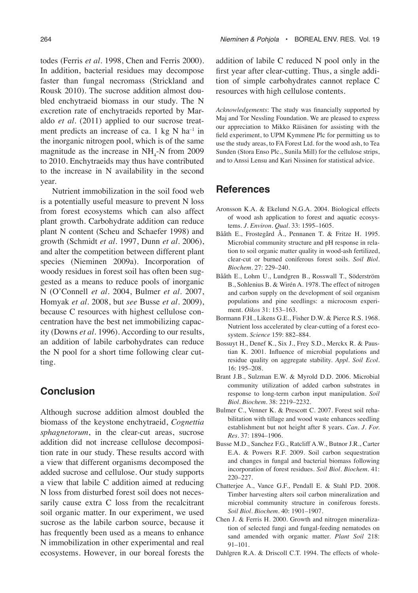todes (Ferris *et al*. 1998, Chen and Ferris 2000). In addition, bacterial residues may decompose faster than fungal necromass (Strickland and Rousk 2010). The sucrose addition almost doubled enchytraeid biomass in our study. The N excretion rate of enchytraeids reported by Maraldo *et al*. (2011) applied to our sucrose treatment predicts an increase of ca. 1 kg  $N$  ha<sup>-1</sup> in the inorganic nitrogen pool, which is of the same magnitude as the increase in  $NH_{4}$ -N from 2009 to 2010. Enchytraeids may thus have contributed to the increase in N availability in the second year.

Nutrient immobilization in the soil food web is a potentially useful measure to prevent N loss from forest ecosystems which can also affect plant growth. Carbohydrate addition can reduce plant N content (Scheu and Schaefer 1998) and growth (Schmidt *et al*. 1997, Dunn *et al*. 2006), and alter the competition between different plant species (Nieminen 2009a). Incorporation of woody residues in forest soil has often been suggested as a means to reduce pools of inorganic N (O'Connell *et al*. 2004, Bulmer *et al*. 2007, Homyak *et al*. 2008, but *see* Busse *et al*. 2009), because C resources with highest cellulose concentration have the best net immobilizing capacity (Downs *et al*. 1996). According to our results, an addition of labile carbohydrates can reduce the N pool for a short time following clear cutting.

## **Conclusion**

Although sucrose addition almost doubled the biomass of the keystone enchytraeid, *Cognettia sphagnetorum*, in the clear-cut areas, sucrose addition did not increase cellulose decomposition rate in our study. These results accord with a view that different organisms decomposed the added sucrose and cellulose. Our study supports a view that labile C addition aimed at reducing N loss from disturbed forest soil does not necessarily cause extra C loss from the recalcitrant soil organic matter. In our experiment, we used sucrose as the labile carbon source, because it has frequently been used as a means to enhance N immobilization in other experimental and real ecosystems. However, in our boreal forests the

addition of labile C reduced N pool only in the first year after clear-cutting. Thus, a single addition of simple carbohydrates cannot replace C resources with high cellulose contents.

*Acknowledgements*: The study was financially supported by Maj and Tor Nessling Foundation. We are pleased to express our appreciation to Mikko Räisänen for assisting with the field experiment, to UPM Kymmene Plc for permitting us to use the study areas, to FA Forest Ltd. for the wood ash, to Tea Sunden (Stora Enso Plc., Sunila Mill) for the cellulose strips, and to Anssi Lensu and Kari Nissinen for statistical advice.

## **References**

- Aronsson K.A. & Ekelund N.G.A. 2004. Biological effects of wood ash application to forest and aquatic ecosystems. *J. Environ. Qual.* 33: 1595–1605.
- Bååth E., Frostegård Å., Pennanen T. & Fritze H. 1995. Microbial community structure and pH response in relation to soil organic matter quality in wood-ash fertilized, clear-cut or burned coniferous forest soils. *Soil Biol. Biochem.* 27: 229–240.
- Bååth E., Lohm U., Lundgren B., Rosswall T., Söderström B., Sohlenius B. & Wirén A. 1978. The effect of nitrogen and carbon supply on the development of soil organism populations and pine seedlings: a microcosm experiment. *Oikos* 31: 153–163.
- Bormann F.H., Likens G.E., Fisher D.W. & Pierce R.S. 1968. Nutrient loss accelerated by clear-cutting of a forest ecosystem. *Science* 159: 882–884.
- Bossuyt H., Denef K., Six J., Frey S.D., Merckx R. & Paustian K. 2001. Influence of microbial populations and residue quality on aggregate stability. *Appl. Soil Ecol.* 16: 195–208.
- Brant J.B., Sulzman E.W. & Myrold D.D. 2006. Microbial community utilization of added carbon substrates in response to long-term carbon input manipulation. *Soil Biol. Biochem.* 38: 2219–2232.
- Bulmer C., Venner K. & Prescott C. 2007. Forest soil rehabilitation with tillage and wood waste enhances seedling establishment but not height after 8 years. *Can. J. For. Res.* 37: 1894–1906.
- Busse M.D., Sanchez F.G., Ratcliff A.W., Butnor J.R., Carter E.A. & Powers R.F. 2009. Soil carbon sequestration and changes in fungal and bacterial biomass following incorporation of forest residues. *Soil Biol. Biochem.* 41: 220–227.
- Chatterjee A., Vance G.F., Pendall E. & Stahl P.D. 2008. Timber harvesting alters soil carbon mineralization and microbial community structure in coniferous forests. *Soil Biol. Biochem.* 40: 1901–1907.
- Chen J. & Ferris H. 2000. Growth and nitrogen mineralization of selected fungi and fungal-feeding nematodes on sand amended with organic matter. *Plant Soil* 218: 91–101.
- Dahlgren R.A. & Driscoll C.T. 1994. The effects of whole-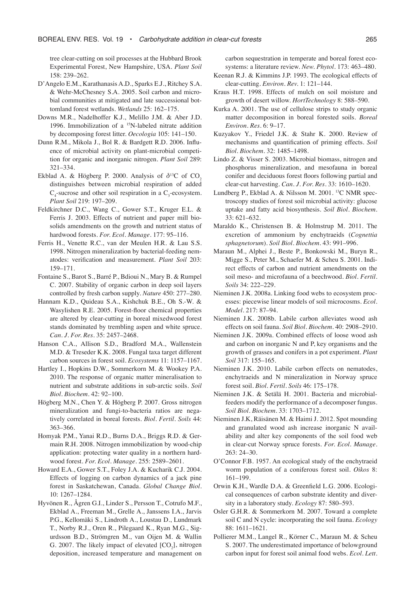tree clear-cutting on soil processes at the Hubbard Brook Experimental Forest, New Hampshire, USA. *Plant Soil* 158: 239–262.

- D'Angelo E.M., Karathanasis A.D., Sparks E.J., Ritchey S.A. & Wehr-McChesney S.A. 2005. Soil carbon and microbial communities at mitigated and late successional bottomland forest wetlands. *Wetlands* 25: 162–175.
- Downs M.R., Nadelhoffer K.J., Melillo J.M. & Aber J.D. 1996. Immobilization of a 15N-labeled nitrate addition by decomposing forest litter. *Oecologia* 105: 141–150.
- Dunn R.M., Mikola J., Bol R. & Bardgett R.D. 2006. Influence of microbial activity on plant-microbial competition for organic and inorganic nitrogen. *Plant Soil* 289: 321–334.
- Ekblad A. & Högberg P. 2000. Analysis of  $\delta^{13}C$  of CO<sub>2</sub> distinguishes between microbial respiration of added  $C_4$ -sucrose and other soil respiration in a  $C_3$ -ecosystem. *Plant Soil* 219: 197–209.
- Feldkirchner D.C., Wang C., Gower S.T., Kruger E.L. & Ferris J. 2003. Effects of nutrient and paper mill biosolids amendments on the growth and nutrient status of hardwood forests. *For. Ecol. Manage.* 177: 95–116.
- Ferris H., Venette R.C., van der Meulen H.R. & Lau S.S. 1998. Nitrogen mineralization by bacterial-feeding nematodes: verification and measurement. *Plant Soil* 203: 159–171.
- Fontaine S., Barot S., Barré P., Bdioui N., Mary B. & Rumpel C. 2007. Stability of organic carbon in deep soil layers controlled by fresh carbon supply. *Nature* 450: 277–280.
- Hannam K.D., Quideau S.A., Kishchuk B.E., Oh S.-W. & Wasylishen R.E. 2005. Forest-floor chemical properties are altered by clear-cutting in boreal mixedwood forest stands dominated by trembling aspen and white spruce. *Can. J. For. Res.* 35: 2457–2468.
- Hanson C.A., Allison S.D., Bradford M.A., Wallenstein M.D. & Treseder K.K. 2008. Fungal taxa target different carbon sources in forest soil. *Ecosystems* 11: 1157–1167.
- Hartley I., Hopkins D.W., Sommerkorn M. & Wookey P.A. 2010. The response of organic matter mineralisation to nutrient and substrate additions in sub-arctic soils. *Soil Biol. Biochem.* 42: 92–100.
- Högberg M.N., Chen Y. & Högberg P. 2007. Gross nitrogen mineralization and fungi-to-bacteria ratios are negatively correlated in boreal forests. *Biol. Fertil. Soils* 44: 363–366.
- Homyak P.M., Yanai R.D., Burns D.A., Briggs R.D. & Germain R.H. 2008. Nitrogen immobilization by wood-chip application: protecting water quality in a northern hardwood forest. *For. Ecol. Manage.* 255: 2589–2601.
- Howard E.A., Gower S.T., Foley J.A. & Kucharik C.J. 2004. Effects of logging on carbon dynamics of a jack pine forest in Saskatchewan, Canada. *Global Change Biol.* 10: 1267–1284.
- Hyvönen R., Ågren G.I., Linder S., Persson T., Cotrufo M.F., Ekblad A., Freeman M., Grelle A., Janssens I.A., Jarvis P.G., Kellomäki S., Lindroth A., Loustau D., Lundmark T., Norby R.J., Oren R., Pilegaard K., Ryan M.G., Sigurdsson B.D., Strömgren M., van Oijen M. & Wallin G. 2007. The likely impact of elevated  $[CO<sub>2</sub>]$ , nitrogen deposition, increased temperature and management on

carbon sequestration in temperate and boreal forest ecosystems: a literature review. *New. Phytol.* 173: 463–480.

- Keenan R.J. & Kimmins J.P. 1993. The ecological effects of clear-cutting. *Environ. Rev.* 1: 121–144.
- Kraus H.T. 1998. Effects of mulch on soil moisture and growth of desert willow. *HortTechnology* 8: 588–590.
- Kurka A. 2001. The use of cellulose strips to study organic matter decomposition in boreal forested soils. *Boreal Environ. Res.* 6: 9–17.
- Kuzyakov Y., Friedel J.K. & Stahr K. 2000. Review of mechanisms and quantification of priming effects. *Soil Biol. Biochem.* 32: 1485–1498.
- Lindo Z. & Visser S. 2003. Microbial biomass, nitrogen and phosphorus mineralization, and mesofauna in boreal conifer and deciduous forest floors following partial and clear-cut harvesting. *Can. J. For. Res.* 33: 1610–1620.
- Lundberg P., Ekblad A. & Nilsson M. 2001. 13C NMR spectroscopy studies of forest soil microbial activity: glucose uptake and fatty acid biosynthesis. *Soil Biol. Biochem.* 33: 621–632.
- Maraldo K., Christensen B. & Holmstrup M. 2011. The excretion of ammonium by enchytraeids (*Cognettia sphagnetorum*). *Soil Biol. Biochem*. 43: 991–996.
- Maraun M., Alphei J., Beste P., Bonkowski M., Buryn R., Migge S., Peter M., Schaefer M. & Scheu S. 2001. Indirect effects of carbon and nutrient amendments on the soil meso- and microfauna of a beechwood. *Biol. Fertil. Soils* 34: 222–229.
- Nieminen J.K. 2008a. Linking food webs to ecosystem processes: piecewise linear models of soil microcosms. *Ecol. Model.* 217: 87–94.
- Nieminen J.K. 2008b. Labile carbon alleviates wood ash effects on soil fauna. *Soil Biol. Biochem.* 40: 2908–2910.
- Nieminen J.K. 2009a. Combined effects of loose wood ash and carbon on inorganic N and P, key organisms and the growth of grasses and conifers in a pot experiment. *Plant Soil* 317: 155–165.
- Nieminen J.K. 2010. Labile carbon effects on nematodes, enchytraeids and N mineralization in Norway spruce forest soil. *Biol. Fertil. Soils* 46: 175–178.
- Nieminen J.K. & Setälä H. 2001. Bacteria and microbialfeeders modify the performance of a decomposer fungus. *Soil Biol. Biochem.* 33: 1703–1712.
- Nieminen J.K, Räisänen M. & Haimi J. 2012. Spot mounding and granulated wood ash increase inorganic N availability and alter key components of the soil food web in clear-cut Norway spruce forests. *For. Ecol. Manage.* 263: 24–30.
- O'Connor F.B. 1957. An ecological study of the enchytraeid worm population of a coniferous forest soil. *Oikos* 8: 161–199.
- Orwin K.H., Wardle D.A. & Greenfield L.G. 2006. Ecological consequences of carbon substrate identity and diversity in a laboratory study. *Ecology* 87: 580–593.
- Osler G.H.R. & Sommerkorn M. 2007. Toward a complete soil C and N cycle: incorporating the soil fauna. *Ecology* 88: 1611–1621.
- Pollierer M.M., Langel R., Körner C., Maraun M. & Scheu S. 2007. The underestimated importance of belowground carbon input for forest soil animal food webs. *Ecol. Lett.*